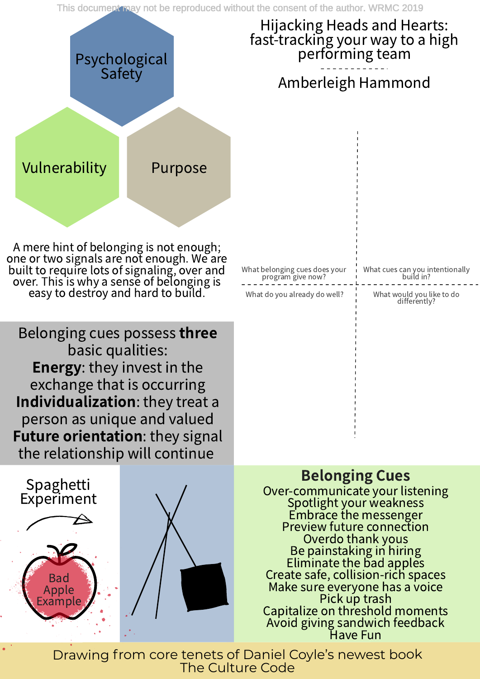This document may not be reproduced without the consent of the author. WRMC 2019

#### Hijacking Heads and Hearts: fast-tracking your way to a high performing team

Amberleigh Hammond

What belonging cues does your program give now? What cues can you intentionally build in? What would you like to do differently? What do you already do well?

Belonging cues possess three basic qualities: Energy: they invest in the exchange that is occurring Individualization: they treat a person as unique and valued Future orientation: they signal the relationship will continue

> Drawing from core tenets of Daniel Coyle's newest book The Culture Code

### Belonging Cues

Over-communicate your listening Spotlight your weakness Embrace the messenger Preview future connection Overdo thank yous Be painstaking in hiring Eliminate the bad apples Create safe, collision-rich spaces Make sure everyone has <sup>a</sup> voice Pick up trash Capitalize on threshold moments Avoid giving sandwich feedback Have Fun





# Psychological Safety

<sup>A</sup> mere hint of belonging is not enough; one or two signals are not enough. We are built to require lots of signaling, over and over. This is why <sup>a</sup> sense of belonging is easy to destroy and hard to build.